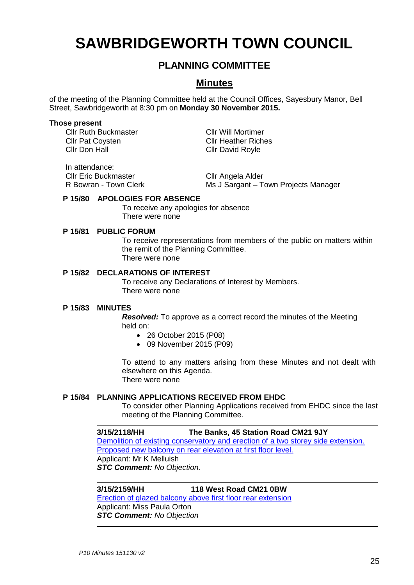# **SAWBRIDGEWORTH TOWN COUNCIL**

# **PLANNING COMMITTEE**

# **Minutes**

of the meeting of the Planning Committee held at the Council Offices, Sayesbury Manor, Bell Street, Sawbridgeworth at 8:30 pm on **Monday 30 November 2015.**

### **Those present**

Cllr Ruth Buckmaster Cllr Will Mortimer Cllr Pat Coysten Cllr Heather Riches<br>Cllr Don Hall Cllr David Royle

Cllr David Royle

In attendance: Cllr Eric Buckmaster Cllr Angela Alder R Bowran - Town Clerk Ms J Sargant – Town Projects Manager

# **P 15/80 APOLOGIES FOR ABSENCE**

To receive any apologies for absence There were none

### **P 15/81 PUBLIC FORUM**

To receive representations from members of the public on matters within the remit of the Planning Committee. There were none

# **P 15/82 DECLARATIONS OF INTEREST**

To receive any Declarations of Interest by Members. There were none

### **P 15/83 MINUTES**

*Resolved:* To approve as a correct record the minutes of the Meeting held on:

- 26 October 2015 (P08)
- 09 November 2015 (P09)

To attend to any matters arising from these Minutes and not dealt with elsewhere on this Agenda. There were none

### **P 15/84 PLANNING APPLICATIONS RECEIVED FROM EHDC**

To consider other Planning Applications received from EHDC since the last meeting of the Planning Committee.

## **3/15/2118/HH The Banks, 45 Station Road CM21 9JY**

[Demolition of existing conservatory and erection of a two storey side extension.](https://publicaccess.eastherts.gov.uk/online-applications/applicationDetails.do?activeTab=summary&keyVal=NWIPT0GL00X00)  [Proposed new balcony on rear elevation at first floor level.](https://publicaccess.eastherts.gov.uk/online-applications/applicationDetails.do?activeTab=summary&keyVal=NWIPT0GL00X00) Applicant: Mr K Melluish *STC Comment: No Objection.*

**3/15/2159/HH 118 West Road CM21 0BW**

[Erection of glazed balcony above first floor rear extension](https://publicaccess.eastherts.gov.uk/online-applications/applicationDetails.do?activeTab=summary&keyVal=NWRNKZGLHEJ00) Applicant: Miss Paula Orton *STC Comment: No Objection*

25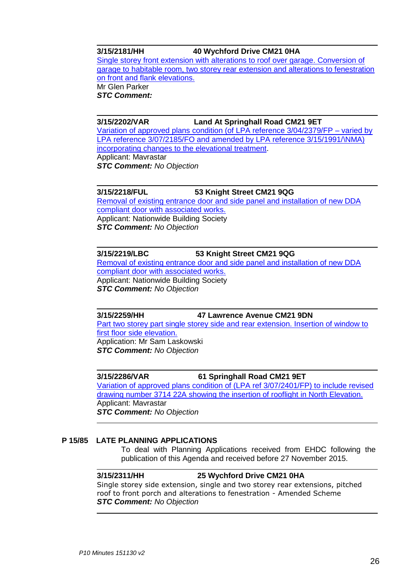# **3/15/2181/HH 40 Wychford Drive CM21 0HA**

[Single storey front extension with alterations to roof over garage. Conversion of](https://publicaccess.eastherts.gov.uk/online-applications/applicationDetails.do?activeTab=summary&keyVal=NWVO1LGLHF800)  [garage to habitable room, two storey rear extension and alterations to fenestration](https://publicaccess.eastherts.gov.uk/online-applications/applicationDetails.do?activeTab=summary&keyVal=NWVO1LGLHF800)  [on front and flank elevations.](https://publicaccess.eastherts.gov.uk/online-applications/applicationDetails.do?activeTab=summary&keyVal=NWVO1LGLHF800) Mr Glen Parker

*STC Comment:*

**3/15/2202/VAR Land At Springhall Road CM21 9ET**

[Variation of approved plans condition \(of LPA reference 3/04/2379/FP –](https://publicaccess.eastherts.gov.uk/online-applications/applicationDetails.do?activeTab=summary&keyVal=NX1J8CGLHGG00) varied by [LPA reference 3/07/2185/FO and amended by LPA reference 3/15/1991/\NMA\)](https://publicaccess.eastherts.gov.uk/online-applications/applicationDetails.do?activeTab=summary&keyVal=NX1J8CGLHGG00)  [incorporating changes to the elevational treatment.](https://publicaccess.eastherts.gov.uk/online-applications/applicationDetails.do?activeTab=summary&keyVal=NX1J8CGLHGG00) Applicant: Mavrastar *STC Comment: No Objection*

**3/15/2218/FUL 53 Knight Street CM21 9QG** [Removal of existing entrance door and side panel and installation of new DDA](https://publicaccess.eastherts.gov.uk/online-applications/applicationDetails.do?activeTab=summary&keyVal=NX739LGLHHE00)  [compliant door with associated works.](https://publicaccess.eastherts.gov.uk/online-applications/applicationDetails.do?activeTab=summary&keyVal=NX739LGLHHE00) Applicant: Nationwide Building Society *STC Comment: No Objection*

**3/15/2219/LBC 53 Knight Street CM21 9QG** [Removal of existing entrance door and side panel and installation of new DDA](https://publicaccess.eastherts.gov.uk/online-applications/applicationDetails.do?activeTab=summary&keyVal=NX739OGLHHF00)  [compliant door with associated works.](https://publicaccess.eastherts.gov.uk/online-applications/applicationDetails.do?activeTab=summary&keyVal=NX739OGLHHF00) Applicant: Nationwide Building Society *STC Comment: No Objection*

**3/15/2259/HH 47 Lawrence Avenue CM21 9DN** [Part two storey part single storey side and rear extension. Insertion of window to](https://publicaccess.eastherts.gov.uk/online-applications/applicationDetails.do?activeTab=summary&keyVal=NXLABSGLHL300)  [first floor side elevation.](https://publicaccess.eastherts.gov.uk/online-applications/applicationDetails.do?activeTab=summary&keyVal=NXLABSGLHL300) Application: Mr Sam Laskowski *STC Comment: No Objection*

**3/15/2286/VAR 61 Springhall Road CM21 9ET** [Variation of approved plans condition of \(LPA ref 3/07/2401/FP\) to include revised](https://publicaccess.eastherts.gov.uk/online-applications/applicationDetails.do?activeTab=summary&keyVal=NXSOW9GLHMN00)  [drawing number 3714 22A showing the insertion of rooflight in North Elevation.](https://publicaccess.eastherts.gov.uk/online-applications/applicationDetails.do?activeTab=summary&keyVal=NXSOW9GLHMN00) Applicant: Mavrastar *STC Comment: No Objection*

### **P 15/85 LATE PLANNING APPLICATIONS**

To deal with Planning Applications received from EHDC following the publication of this Agenda and received before 27 November 2015.

# **3/15/2311/HH 25 Wychford Drive CM21 0HA**

Single storey side extension, single and two storey rear extensions, pitched roof to front porch and alterations to fenestration - Amended Scheme *STC Comment: No Objection*

26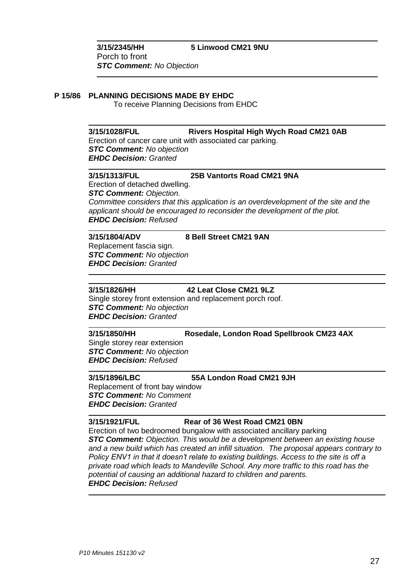## **P 15/86 PLANNING DECISIONS MADE BY EHDC**

To receive Planning Decisions from EHDC

**3/15/1028/FUL Rivers Hospital High Wych Road CM21 0AB** Erection of cancer care unit with associated car parking. *STC Comment: No objection EHDC Decision: Granted*

#### **3/15/1313/FUL 25B Vantorts Road CM21 9NA**

Erection of detached dwelling. *STC Comment: Objection. Committee considers that this application is an overdevelopment of the site and the applicant should be encouraged to reconsider the development of the plot. EHDC Decision: Refused*

# **3/15/1804/ADV 8 Bell Street CM21 9AN**

Replacement fascia sign. *STC Comment: No objection EHDC Decision: Granted*

# **3/15/1826/HH 42 Leat Close CM21 9LZ**

Single storey front extension and replacement porch roof. *STC Comment: No objection EHDC Decision: Granted*

**3/15/1850/HH Rosedale, London Road Spellbrook CM23 4AX**

Single storey rear extension *STC Comment: No objection EHDC Decision: Refused*

# **3/15/1896/LBC 55A London Road CM21 9JH**

Replacement of front bay window *STC Comment: No Comment EHDC Decision: Granted*

# **3/15/1921/FUL Rear of 36 West Road CM21 0BN**

Erection of two bedroomed bungalow with associated ancillary parking *STC Comment: Objection. This would be a development between an existing house and a new build which has created an infill situation. The proposal appears contrary to Policy ENV1 in that it doesn't relate to existing buildings. Access to the site is off a private road which leads to Mandeville School. Any more traffic to this road has the potential of causing an additional hazard to children and parents. EHDC Decision: Refused*